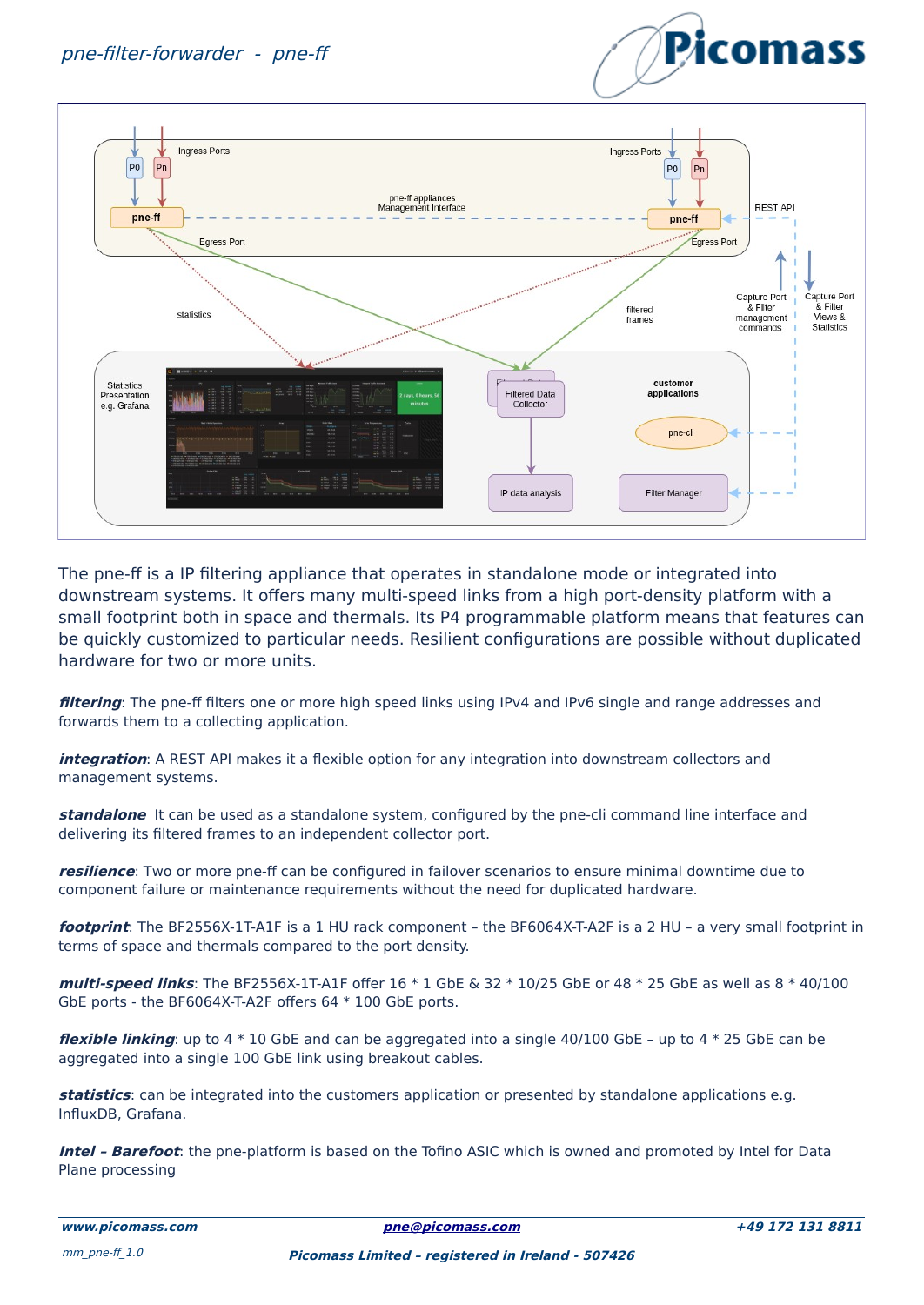



The pne-ff is a IP filtering appliance that operates in standalone mode or integrated into downstream systems. It offers many multi-speed links from a high port-density platform with a small footprint both in space and thermals. Its P4 programmable platform means that features can be quickly customized to particular needs. Resilient configurations are possible without duplicated hardware for two or more units.

**filtering**: The pne-ff filters one or more high speed links using IPv4 and IPv6 single and range addresses and forwards them to a collecting application.

**integration**: A REST API makes it a flexible option for any integration into downstream collectors and management systems.

**standalone** It can be used as a standalone system, configured by the pne-cli command line interface and delivering its filtered frames to an independent collector port.

**resilience**: Two or more pne-ff can be configured in failover scenarios to ensure minimal downtime due to component failure or maintenance requirements without the need for duplicated hardware.

**footprint**: The BF2556X-1T-A1F is a 1 HU rack component – the BF6064X-T-A2F is a 2 HU – a very small footprint in terms of space and thermals compared to the port density.

**multi-speed links**: The BF2556X-1T-A1F offer 16 \* 1 GbE & 32 \* 10/25 GbE or 48 \* 25 GbE as well as 8 \* 40/100 GbE ports - the BF6064X-T-A2F offers 64 \* 100 GbE ports.

**flexible linking**: up to 4 \* 10 GbE and can be aggregated into a single 40/100 GbE – up to 4 \* 25 GbE can be aggregated into a single 100 GbE link using breakout cables.

**statistics**: can be integrated into the customers application or presented by standalone applications e.g. InfluxDB, Grafana.

**Intel – Barefoot**: the pne-platform is based on the Tofino ASIC which is owned and promoted by Intel for Data Plane processing